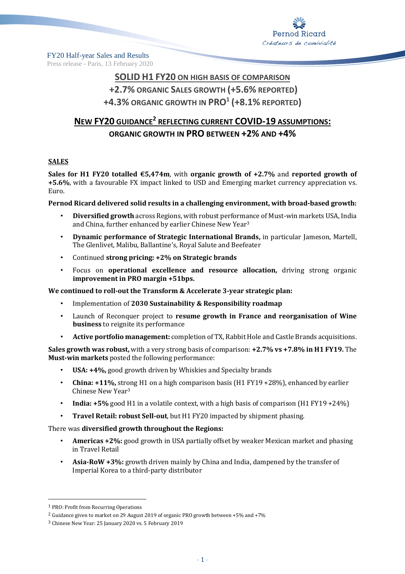### **SOLID H1 FY20 ON HIGH BASIS OF COMPARISON**

### **+2.7% ORGANIC SALES GROWTH (+5.6% REPORTED)**

## **+4.3% ORGANIC GROWTH IN PRO<sup>1</sup> (+8.1% REPORTED)**

### **NEW FY20 GUIDANCE<sup>2</sup> REFLECTING CURRENT COVID-19 ASSUMPTIONS: ORGANIC GROWTH IN PRO BETWEEN +2% AND +4%**

### **SALES**

**Sales for H1 FY20 totalled €5,474m**, with **organic growth of +2.7%** and **reported growth of +5.6%**, with a favourable FX impact linked to USD and Emerging market currency appreciation vs. Euro.

### **Pernod Ricard delivered solid results in a challenging environment, with broad-based growth:**

- **Diversified growth** across Regions, with robust performance of Must-win markets USA, India and China, further enhanced by earlier Chinese New Year<sup>3</sup>
- **Dynamic performance of Strategic International Brands,** in particular Jameson, Martell, The Glenlivet, Malibu, Ballantine's, Royal Salute and Beefeater
- Continued **strong pricing: +2% on Strategic brands**
- Focus on **operational excellence and resource allocation,** driving strong organic **improvement in PRO margin +51bps.**

### **We continued to roll-out the Transform & Accelerate 3-year strategic plan:**

- Implementation of **2030 Sustainability & Responsibility roadmap**
- Launch of Reconquer project to **resume growth in France and reorganisation of Wine business** to reignite its performance
- **Active portfolio management:** completion of TX, Rabbit Hole and Castle Brands acquisitions.

**Sales growth was robust,** with a very strong basis of comparison: **+2.7% vs +7.8% in H1 FY19.** The **Must-win markets** posted the following performance:

- **USA: +4%,** good growth driven by Whiskies and Specialty brands
- **China: +11%,** strong H1 on a high comparison basis (H1 FY19 +28%), enhanced by earlier Chinese New Year<sup>3</sup>
- **India: +5%** good H1 in a volatile context, with a high basis of comparison (H1 FY19 +24%)
- **Travel Retail: robust Sell-out**, but H1 FY20 impacted by shipment phasing.

There was **diversified growth throughout the Regions:**

- **Americas +2%:** good growth in USA partially offset by weaker Mexican market and phasing in Travel Retail
- **Asia-RoW +3%:** growth driven mainly by China and India, dampened by the transfer of Imperial Korea to a third-party distributor

 $\overline{a}$ 

<sup>1</sup> PRO: Profit from Recurring Operations

<sup>2</sup> Guidance given to market on 29 August 2019 of organic PRO growth between +5% and +7%

<sup>3</sup> Chinese New Year: 25 January 2020 vs. 5 February 2019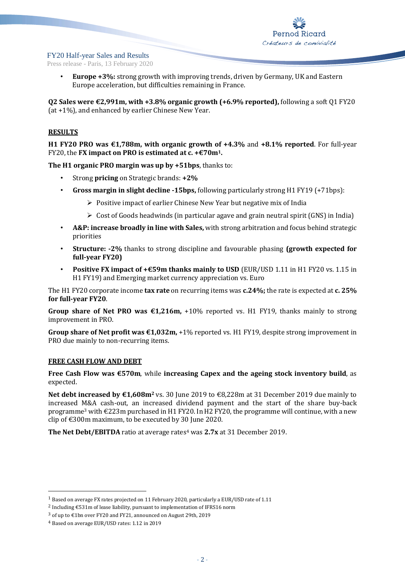

Press release - Paris, 13 February 2020

• **Europe +3%:** strong growth with improving trends, driven by Germany, UK and Eastern Europe acceleration, but difficulties remaining in France.

**Q2 Sales were €2,991m, with +3.8% organic growth (+6.9% reported),** following a soft Q1 FY20 (at +1%), and enhanced by earlier Chinese New Year.

#### **RESULTS**

**H1 FY20 PRO was €1,788m, with organic growth of +4.3%** and **+8.1% reported**. For full-year FY20, the **FX impact on PRO is estimated at c. +€70m1.**

**The H1 organic PRO margin was up by +51bps**, thanks to:

- Strong **pricing** on Strategic brands: **+2%**
- **Gross margin in slight decline -15bps,** following particularly strong H1 FY19 (+71bps):
	- ➢ Positive impact of earlier Chinese New Year but negative mix of India
	- $\triangleright$  Cost of Goods headwinds (in particular agave and grain neutral spirit (GNS) in India)
- **A&P: increase broadly in line with Sales,** with strong arbitration and focus behind strategic priorities
- **Structure: -2%** thanks to strong discipline and favourable phasing **(growth expected for full-year FY20)**
- **Positive FX impact of +€59m thanks mainly to USD** (EUR/USD 1.11 in H1 FY20 vs. 1.15 in H1 FY19) and Emerging market currency appreciation vs. Euro

The H1 FY20 corporate income **tax rate** on recurring items was **c.24%;** the rate is expected at **c. 25% for full-year FY20**.

**Group share of Net PRO was**  $\epsilon$ **1,216m,**  $+10\%$  reported vs. H1 FY19, thanks mainly to strong improvement in PRO.

**Group share of Net profit was €1,032m,** +1% reported vs. H1 FY19, despite strong improvement in PRO due mainly to non-recurring items.

#### **FREE CASH FLOW AND DEBT**

**Free Cash Flow was €570m**, while **increasing Capex and the ageing stock inventory build**, as expected.

**Net debt increased by €1,608m<sup>2</sup>** vs. 30 June 2019 to €8,228m at 31 December 2019 due mainly to increased M&A cash-out, an increased dividend payment and the start of the share buy-back programme<sup>3</sup> with  $\epsilon$ 223m purchased in H1 FY20. In H2 FY20, the programme will continue, with a new clip of €300m maximum, to be executed by 30 June 2020.

**The Net Debt/EBITDA** ratio at average rates<sup>4</sup> was 2.7x at 31 December 2019.

 $\overline{a}$ 

<sup>1</sup> Based on average FX rates projected on 11 February 2020, particularly a EUR/USD rate of 1.11

<sup>&</sup>lt;sup>2</sup> Including  $\epsilon$ 531m of lease liability, pursuant to implementation of IFRS16 norm

<sup>&</sup>lt;sup>3</sup> of up to €1bn over FY20 and FY21, announced on August 29th, 2019

<sup>4</sup> Based on average EUR/USD rates: 1.12 in 2019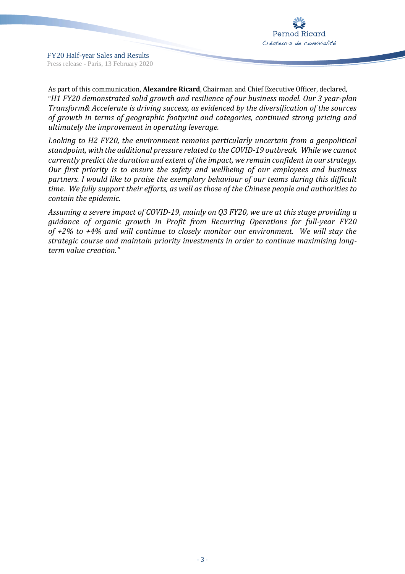

As part of this communication, **Alexandre Ricard**, Chairman and Chief Executive Officer, declared, "*H1 FY20 demonstrated solid growth and resilience of our business model. Our 3 year-plan Transform& Accelerate is driving success, as evidenced by the diversification of the sources of growth in terms of geographic footprint and categories, continued strong pricing and ultimately the improvement in operating leverage.*

*Looking to H2 FY20, the environment remains particularly uncertain from a geopolitical standpoint, with the additional pressure related to the COVID-19 outbreak. While we cannot currently predict the duration and extent of the impact, we remain confident in our strategy. Our first priority is to ensure the safety and wellbeing of our employees and business partners. I would like to praise the exemplary behaviour of our teams during this difficult time. We fully support their efforts, as well as those of the Chinese people and authorities to contain the epidemic.*

*Assuming a severe impact of COVID-19, mainly on Q3 FY20, we are at this stage providing a guidance of organic growth in Profit from Recurring Operations for full-year FY20 of +2% to +4% and will continue to closely monitor our environment. We will stay the strategic course and maintain priority investments in order to continue maximising longterm value creation."*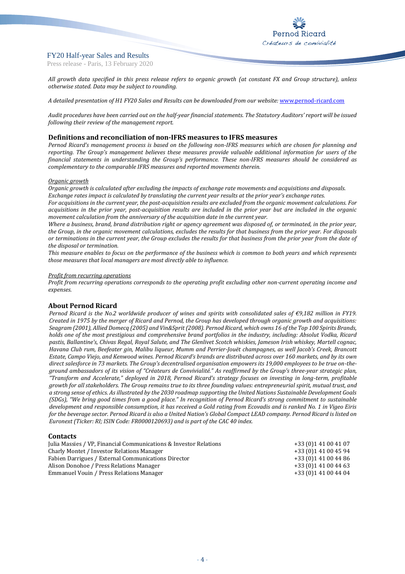Press release - Paris, 13 February 2020

*All growth data specified in this press release refers to organic growth (at constant FX and Group structure), unless otherwise stated. Data may be subject to rounding.*

*A detailed presentation of H1 FY20 Sales and Results can be downloaded from our website:* [www.pernod-ricard.com](http://www.pernod-ricard.com/)

*Audit procedures have been carried out on the half-year financial statements. The Statutory Auditors' report will be issued following their review of the management report.*

#### **Definitions and reconciliation of non-IFRS measures to IFRS measures**

*Pernod Ricard's management process is based on the following non-IFRS measures which are chosen for planning and reporting. The Group's management believes these measures provide valuable additional information for users of the financial statements in understanding the Group's performance. These non-IFRS measures should be considered as complementary to the comparable IFRS measures and reported movements therein.*

#### *Organic growth*

*Organic growth is calculated after excluding the impacts of exchange rate movements and acquisitions and disposals. Exchange rates impact is calculated by translating the current year results at the prior year's exchange rates.*

*For acquisitions in the current year, the post-acquisition results are excluded from the organic movement calculations. For acquisitions in the prior year, post-acquisition results are included in the prior year but are included in the organic movement calculation from the anniversary of the acquisition date in the current year.*

*Where a business, brand, brand distribution right or agency agreement was disposed of, or terminated, in the prior year, the Group, in the organic movement calculations, excludes the results for that business from the prior year. For disposals or terminations in the current year, the Group excludes the results for that business from the prior year from the date of the disposal or termination.*

*This measure enables to focus on the performance of the business which is common to both years and which represents those measures that local managers are most directly able to influence.*

#### *Profit from recurring operations*

*Profit from recurring operations corresponds to the operating profit excluding other non-current operating income and expenses.*

#### **About Pernod Ricard**

*Pernod Ricard is the No.2 worldwide producer of wines and spirits with consolidated sales of €9,182 million in FY19. Created in 1975 by the merger of Ricard and Pernod, the Group has developed through organic growth and acquisitions: Seagram (2001), Allied Domecq (2005) and Vin&Sprit (2008). Pernod Ricard, which owns 16 of the Top 100 Spirits Brands, holds one of the most prestigious and comprehensive brand portfolios in the industry, including: Absolut Vodka, Ricard pastis, Ballantine's, Chivas Regal, Royal Salute, and The Glenlivet Scotch whiskies, Jameson Irish whiskey, Martell cognac, Havana Club rum, Beefeater gin, Malibu liqueur, Mumm and Perrier-Jouët champagnes, as well Jacob's Creek, Brancott Estate, Campo Viejo, and Kenwood wines. Pernod Ricard's brands are distributed across over 160 markets, and by its own direct salesforce in 73 markets. The Group's decentralised organisation empowers its 19,000 employees to be true on-theground ambassadors of its vision of "Créateurs de Convivialité." As reaffirmed by the Group's three-year strategic plan, "Transform and Accelerate," deployed in 2018, Pernod Ricard's strategy focuses on investing in long-term, profitable growth for all stakeholders. The Group remains true to its three founding values: entrepreneurial spirit, mutual trust, and a strong sense of ethics. As illustrated by the 2030 roadmap supporting the United Nations Sustainable Development Goals (SDGs), "We bring good times from a good place." In recognition of Pernod Ricard's strong commitment to sustainable development and responsible consumption, it has received a Gold rating from Ecovadis and is ranked No. 1 in Vigeo Eiris for the beverage sector. Pernod Ricard is also a United Nation's Global Compact LEAD company. Pernod Ricard is listed on Euronext (Ticker: RI; ISIN Code: FR0000120693) and is part of the CAC 40 index.*

#### **Contacts**

| Julia Massies / VP, Financial Communications & Investor Relations | +33 (0) 141 00 41 07 |
|-------------------------------------------------------------------|----------------------|
| Charly Montet / Investor Relations Manager                        | +33 (0) 141 00 45 94 |
| Fabien Darrigues / External Communications Director               | +33 (0) 141 00 44 86 |
| Alison Donohoe / Press Relations Manager                          | +33 (0) 141 00 44 63 |
| Emmanuel Vouin / Press Relations Manager                          | +33 (0) 141 00 44 04 |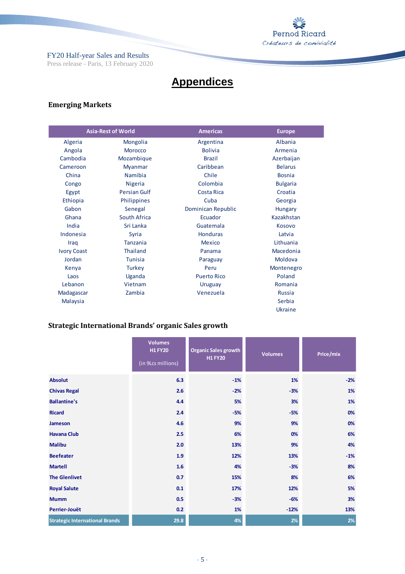

# **Appendices**

### **Emerging Markets**

|                    | <b>Asia-Rest of World</b> | <b>Americas</b>    | <b>Europe</b>   |
|--------------------|---------------------------|--------------------|-----------------|
| Algeria            | Mongolia                  | Argentina          | Albania         |
| Angola             | <b>Morocco</b>            | <b>Bolivia</b>     | Armenia         |
| Cambodia           | Mozambique                | <b>Brazil</b>      | Azerbaijan      |
| Cameroon           | <b>Myanmar</b>            | Caribbean          | <b>Belarus</b>  |
| China              | Namibia                   | Chile              | <b>Bosnia</b>   |
| Congo              | <b>Nigeria</b>            | Colombia           | <b>Bulgaria</b> |
| Egypt              | <b>Persian Gulf</b>       | Costa Rica         | Croatia         |
| Ethiopia           | Philippines               | Cuba               | Georgia         |
| Gabon              | Senegal                   | Dominican Republic | <b>Hungary</b>  |
| Ghana              | South Africa              | Ecuador            | Kazakhstan      |
| India              | Sri Lanka                 | Guatemala          | Kosovo          |
| Indonesia          | Syria                     | Honduras           | Latvia          |
| Iraq               | Tanzania                  | <b>Mexico</b>      | Lithuania       |
| <b>Ivory Coast</b> | <b>Thailand</b>           | Panama             | Macedonia       |
| Jordan             | <b>Tunisia</b>            | Paraguay           | Moldova         |
| Kenya              | <b>Turkey</b>             | Peru               | Montenegro      |
| Laos               | Uganda                    | <b>Puerto Rico</b> | Poland          |
| Lebanon            | Vietnam                   | Uruguay            | Romania         |
| Madagascar         | Zambia                    | Venezuela          | Russia          |
| Malaysia           |                           |                    | Serbia          |
|                    |                           |                    | Ukraine         |

### **Strategic International Brands' organic Sales growth**

|                                       | <b>Volumes</b><br><b>H1 FY20</b><br>(in 9Lcs millions) | <b>Organic Sales growth</b><br><b>H1FY20</b> | <b>Volumes</b> | Price/mix |
|---------------------------------------|--------------------------------------------------------|----------------------------------------------|----------------|-----------|
| <b>Absolut</b>                        | 6.3                                                    | $-1%$                                        | 1%             | $-2%$     |
| <b>Chivas Regal</b>                   | 2.6                                                    | $-2%$                                        | $-3%$          | 1%        |
| <b>Ballantine's</b>                   | 4.4                                                    | 5%                                           | 3%             | 1%        |
| <b>Ricard</b>                         | 2.4                                                    | $-5%$                                        | $-5%$          | 0%        |
| <b>Jameson</b>                        | 4.6                                                    | 9%                                           | 9%             | 0%        |
| <b>Havana Club</b>                    | 2.5                                                    | 6%                                           | 0%             | 6%        |
| <b>Malibu</b>                         | 2.0                                                    | 13%                                          | 9%             | 4%        |
| <b>Beefeater</b>                      | 1.9                                                    | 12%                                          | 13%            | $-1%$     |
| <b>Martell</b>                        | 1.6                                                    | 4%                                           | $-3%$          | 8%        |
| <b>The Glenlivet</b>                  | 0.7                                                    | 15%                                          | 8%             | 6%        |
| <b>Royal Salute</b>                   | 0.1                                                    | 17%                                          | 12%            | 5%        |
| <b>Mumm</b>                           | 0.5                                                    | $-3%$                                        | $-6%$          | 3%        |
| Perrier-Jouët                         | 0.2                                                    | 1%                                           | $-12%$         | 13%       |
| <b>Strategic International Brands</b> | 29.8                                                   | 4%                                           | 2%             | $2\%$     |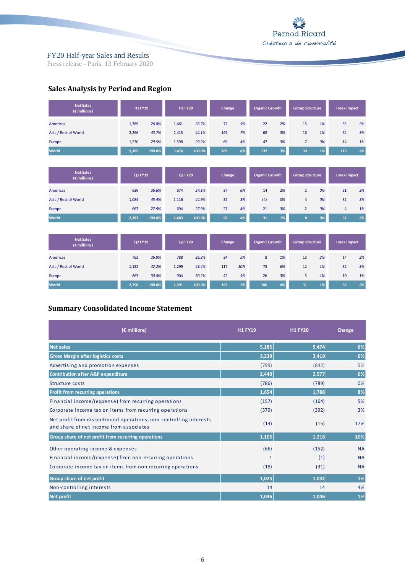

Press release - Paris, 13 February 2020

### **Sales Analysis by Period and Region**

| <b>Net Sales</b><br>$(\epsilon$ millions) | <b>H1 FY19</b> |        | <b>H1 FY20</b> |        |     | Change |     | <b>Organic Growth</b> |    | <b>Group Structure</b> | <b>Forex impact</b> |    |
|-------------------------------------------|----------------|--------|----------------|--------|-----|--------|-----|-----------------------|----|------------------------|---------------------|----|
| <b>Americas</b>                           | 1,389          | 26.8%  | 1,461          | 26.7%  | 72  | 5%     | 22  | 2%                    | 15 | 1%                     | 35                  | 2% |
| Asia / Rest of World                      | 2,266          | 43.7%  | 2,415          | 44.1%  | 149 | 7%     | 68  | 3%                    | 16 | 1%                     | 64                  | 3% |
| Europe                                    | 1,530          | 29.5%  | 1,598          | 29.2%  | 69  | 4%     | 47  | 3%                    | 7  | 0%                     | 14                  | 1% |
| World                                     | 5,185          | 100.0% | 5,474          | 100.0% | 289 | 6%     | 137 | 3%                    | 39 | $1\%$                  | 113                 | 2% |

| <b>Net Sales</b><br>(€ millions) | Q1 FY19 |        | <b>Q1 FY20</b> |        | Change |    | <b>Organic Growth</b> |    | <b>Group Structure</b> |    | <b>Forex impact</b> |    |
|----------------------------------|---------|--------|----------------|--------|--------|----|-----------------------|----|------------------------|----|---------------------|----|
| <b>Americas</b>                  | 636     | 26.6%  | 674            | 27.1%  | 37     | 6% | 14                    | 2% | $\overline{2}$         | 0% | 21                  | 3% |
| Asia / Rest of World             | 1,084   | 45.4%  | 1,116          | 44.9%  | 32     | 3% | (4)                   | 0% | 4                      | 0% | 32                  | 3% |
| Europe                           | 667     | 27.9%  | 694            | 27.9%  | 27     | 4% | 21                    | 3% | $\overline{2}$         | 0% | 4                   | 1% |
| World                            | 2,387   | 100.0% | 2,483          | 100.0% | 96     | 4% | 31                    | 1% | 8                      | 0% | 57                  | 2% |

| <b>Net Sales</b><br>(€ millions) | Q2 FY19 |        | <b>Q2 FY20</b> |        | Change |     | <b>Organic Growth</b> |    | <b>Group Structure</b> |    | <b>Forex impact</b> |    |
|----------------------------------|---------|--------|----------------|--------|--------|-----|-----------------------|----|------------------------|----|---------------------|----|
| <b>Americas</b>                  | 753     | 26.9%  | 788            | 26.3%  | 34     | 5%  | 8                     | 1% | 13                     | 2% | 14                  | 2% |
| Asia / Rest of World             | 1,182   | 42.2%  | 1,299          | 43.4%  | 117    | 10% | 73                    | 6% | 12                     | 1% | 32                  | 3% |
| Europe                           | 863     | 30.8%  | 904            | 30.2%  | 42     | 5%  | 26                    | 3% | 5                      | 1% | 10                  | 1% |
| World                            | 2,798   | 100.0% | 2,991          | 100.0% | 193    | 7%  | 106                   | 4% | 31                     | 1% | 56                  | 2% |

### **Summary Consolidated Income Statement**

| (€ millions)                                                                                                  | <b>H1 FY19</b> | <b>H1 FY20</b> | Change    |
|---------------------------------------------------------------------------------------------------------------|----------------|----------------|-----------|
| <b>Net sales</b>                                                                                              | 5,185          | 5,474          | 6%        |
| <b>Gross Margin after logistics costs</b>                                                                     | 3,239          | 3,419          | 6%        |
| Advertising and promotion expenses                                                                            | (799)          | (842)          | 5%        |
| <b>Contribution after A&amp;P expenditure</b>                                                                 | 2,440          | 2,577          | 6%        |
| Structure costs                                                                                               | (786)          | (789)          | 0%        |
| Profit from recurring operations                                                                              | 1,654          | 1,788          | 8%        |
| Financial income/(expense) from recurring operations                                                          | (157)          | (164)          | 5%        |
| Corporate income tax on items from recurring operations                                                       | (379)          | (392)          | 3%        |
| Net profit from discontinued operations, non-controlling interests<br>and share of net income from associates | (13)           | (15)           | 17%       |
| Group share of net profit from recurring operations                                                           | 1,105          | 1,216          | 10%       |
| Other operating income & expenses                                                                             | (66)           | (152)          | <b>NA</b> |
| Financial income/(expense) from non-recurring operations                                                      | 1              | (1)            | <b>NA</b> |
| Corporate income tax on items from non recurring operations                                                   | (18)           | (31)           | <b>NA</b> |
| Group share of net profit                                                                                     | 1,023          | 1,032          | 1%        |
| Non-controlling interests                                                                                     | 14             | 14             | 4%        |
| <b>Net profit</b>                                                                                             | 1,036          | 1,046          | 1%        |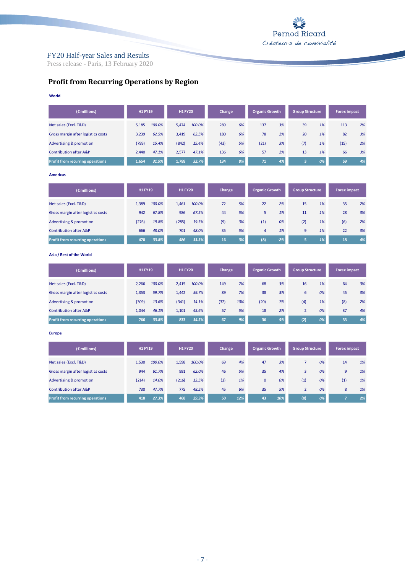

Press release - Paris, 13 February 2020

### **Profit from Recurring Operations by Region**

### **World**

| (€ millions)                            | <b>H1 FY19</b> |        | <b>H1 FY20</b> |        | Change |    | <b>Organic Growth</b> |    | <b>Group Structure</b> |    | <b>Forex impact</b> |    |
|-----------------------------------------|----------------|--------|----------------|--------|--------|----|-----------------------|----|------------------------|----|---------------------|----|
| Net sales (Excl. T&D)                   | 5,185          | 100.0% | 5.474          | 100.0% | 289    | 6% | 137                   | 3% | 39                     | 1% | 113                 | 2% |
| Gross margin after logistics costs      | 3,239          | 62.5%  | 3.419          | 62.5%  | 180    | 6% | 78                    | 2% | 20                     | 1% | 82                  | 3% |
| Advertising & promotion                 | (799)          | 15.4%  | (842)          | 15.4%  | (43)   | 5% | (21)                  | 3% | (7)                    | 1% | (15)                | 2% |
| <b>Contribution after A&amp;P</b>       | 2.440          | 47.1%  | 2.577          | 47.1%  | 136    | 6% | 57                    | 2% | 13                     | 1% | 66                  | 3% |
| <b>Profit from recurring operations</b> | 1,654          | 31.9%  | 1,788          | 32.7%  | 134    | 8% | 71                    | 4% | 3                      | 0% | 59                  | 4% |

#### **Americas**

| (€ millions)                            | <b>H1 FY19</b> |        | <b>H1 FY20</b> |        | Change |    | <b>Organic Growth</b> |       | <b>Group Structure</b> |       | <b>Forex impact</b> |    |
|-----------------------------------------|----------------|--------|----------------|--------|--------|----|-----------------------|-------|------------------------|-------|---------------------|----|
| Net sales (Excl. T&D)                   | 1.389          | 100.0% | 1.461          | 100.0% | 72     | 5% | 22                    | 2%    | 15                     | 1%    | 35                  | 2% |
| Gross margin after logistics costs      | 942            | 67.8%  | 986            | 67.5%  | 44     | 5% | 5                     | 1%    | 11                     | 1%    | 28                  | 3% |
| Advertising & promotion                 | (276)          | 19.8%  | (285)          | 19.5%  | (9)    | 3% | (1)                   | 0%    | (2)                    | 1%    | (6)                 | 2% |
| <b>Contribution after A&amp;P</b>       | 666            | 48.0%  | 701            | 48.0%  | 35     | 5% | $\overline{a}$        | 1%    | 9                      | 1%    | 22                  | 3% |
| <b>Profit from recurring operations</b> | 470            | 33.8%  | 486            | 33.3%  | 16     | 3% | (8)                   | $-2%$ | 5.                     | $1\%$ | 18                  | 4% |

#### **Asia / Rest of the World**

| (€ millions)                            | <b>H1 FY19</b> |        | <b>H1 FY20</b> |        |      | Change |      | <b>Organic Growth</b> |     | <b>Group Structure</b> | <b>Forex impact</b> |    |
|-----------------------------------------|----------------|--------|----------------|--------|------|--------|------|-----------------------|-----|------------------------|---------------------|----|
| Net sales (Excl. T&D)                   | 2.266          | 100.0% | 2.415          | 100.0% | 149  | 7%     | 68   | 3%                    | 16  | 1%                     | 64                  | 3% |
| Gross margin after logistics costs      | 1.353          | 59.7%  | 1.442          | 59.7%  | 89   | 7%     | 38   | 3%                    | 6   | 0%                     | 45                  | 3% |
| Advertising & promotion                 | (309)          | 13.6%  | (341)          | 14.1%  | (32) | 10%    | (20) | 7%                    | (4) | 1%                     | (8)                 | 2% |
| <b>Contribution after A&amp;P</b>       | 1.044          | 46.1%  | 1,101          | 45.6%  | 57   | 5%     | 18   | 2%                    |     | 0%                     | 37                  | 4% |
| <b>Profit from recurring operations</b> | 766            | 33.8%  | 833            | 34.5%  | 67   | 9%     | 36'  | 5%                    | (2) | 0%                     | 33                  | 4% |

#### **Europe**

| $(\epsilon$ millions)              |       | <b>H1 FY19</b> |       | <b>H1 FY20</b> |     | Change |              | <b>Organic Growth</b> |     | <b>Group Structure</b> | Forex impact |    |
|------------------------------------|-------|----------------|-------|----------------|-----|--------|--------------|-----------------------|-----|------------------------|--------------|----|
| Net sales (Excl. T&D)              | 1.530 | 100.0%         | 1,598 | 100.0%         | 69  | 4%     | 47           | 3%                    |     | 0%                     | 14           | 1% |
| Gross margin after logistics costs | 944   | 61.7%          | 991   | 62.0%          | 46  | 5%     | 35           | 4%                    | 3   | 0%                     | 9            | 1% |
| Advertising & promotion            | (214) | 14.0%          | (216) | 13.5%          | (2) | 1%     | $\mathbf{0}$ | 0%                    | (1) | 0%                     | (1)          | 1% |
| <b>Contribution after A&amp;P</b>  | 730   | 47.7%          | 775   | 48.5%          | 45  | 6%     | 35           | 5%                    |     | 0%                     | 8            | 1% |
| Profit from recurring operations,  | 418   | 27.3%          | 468   | 29.3%          | 50  | 12%    | 43           | 10%                   | (0) | 0%                     |              | 2% |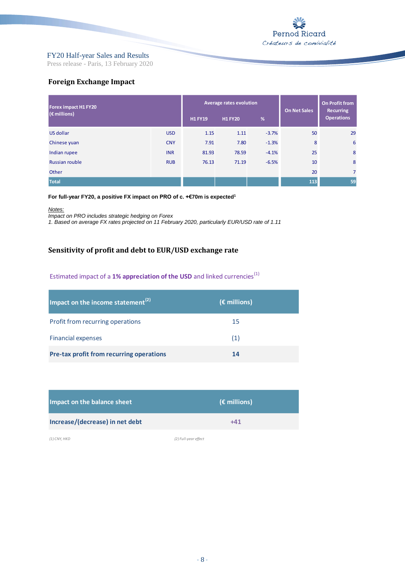

Press release - Paris, 13 February 2020

### **Foreign Exchange Impact**

| Forex impact H1 FY20  |            |       | Average rates evolution               | <b>On Net Sales</b> | On Profit from<br><b>Recurring</b> |                 |
|-----------------------|------------|-------|---------------------------------------|---------------------|------------------------------------|-----------------|
| (€ millions)          |            |       | %<br><b>H1 FY19</b><br><b>H1 FY20</b> |                     | <b>Operations</b>                  |                 |
| US dollar             | <b>USD</b> | 1.15  | 1.11                                  | $-3.7%$             | 50                                 | 29              |
| Chinese yuan          | <b>CNY</b> | 7.91  | 7.80                                  | $-1.3%$             | 8                                  | $6\phantom{1}6$ |
| Indian rupee          | <b>INR</b> | 81.93 | 78.59                                 | $-4.1%$             | 25                                 | 8               |
| <b>Russian rouble</b> | <b>RUB</b> | 76.13 | 71.19                                 | $-6.5%$             | 10                                 | 8               |
| Other                 |            |       |                                       |                     | 20                                 | $\overline{7}$  |
| <b>Total</b>          |            |       |                                       |                     | 113                                | 59              |

#### **For full-year FY20, a positive FX impact on PRO of c. +€70m is expected<sup>1</sup>**

*Notes:*

*Impact on PRO includes strategic hedging on Forex*

*1. Based on average FX rates projected on 11 February 2020, particularly EUR/USD rate of 1.11*

### **Sensitivity of profit and debt to EUR/USD exchange rate**

### Estimated impact of a **1% appreciation of the USD** and linked currencies(1)

| Impact on the income statement $^{(2)}$  | $(E \text{ millions})$ |
|------------------------------------------|------------------------|
| Profit from recurring operations         | 15                     |
| <b>Financial expenses</b>                | (1)                    |
| Pre-tax profit from recurring operations | 14                     |

| Impact on the balance sheet     | $(\epsilon$ millions) |
|---------------------------------|-----------------------|
| Increase/(decrease) in net debt | +41                   |

*(1) CNY, HKD (2) Full-year effect*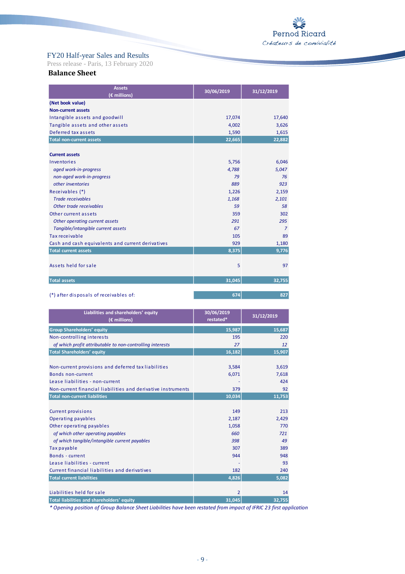Press release - Paris, 13 February 2020

### **Balance Sheet**

| <b>Assets</b><br>(€ millions)                     | 30/06/2019 | 31/12/2019     |
|---------------------------------------------------|------------|----------------|
| (Net book value)                                  |            |                |
| <b>Non-current assets</b>                         |            |                |
| Intangible assets and goodwill                    | 17,074     | 17,640         |
| Tangible assets and other assets                  | 4,002      | 3,626          |
| Deferred tax assets                               | 1,590      | 1,615          |
| <b>Total non-current assets</b>                   | 22,665     | 22,882         |
|                                                   |            |                |
| <b>Current assets</b>                             |            |                |
| Inventories                                       | 5,756      | 6,046          |
| aged work-in-progress                             | 4,788      | 5,047          |
| non-aged work-in-progress                         | 79         | 76             |
| other inventories                                 | 889        | 923            |
| Receivables (*)                                   | 1,226      | 2,159          |
| <b>Trade receivables</b>                          | 1,168      | 2,101          |
| Other trade receivables                           | 59         | 58             |
| Other current assets                              | 359        | 302            |
| Other operating current assets                    | 291        | 295            |
| Tangible/intangible current assets                | 67         | $\overline{7}$ |
| Tax receivable                                    | 105        | 89             |
| Cash and cash equivalents and current derivatives | 929        | 1,180          |
| <b>Total current assets</b>                       | 8,375      | 9,776          |
| Assets held for sale                              | 5          | 97             |
| <b>Total assets</b>                               | 31.045     | 32,755         |
| (*) after disposals of receivables of:            | 674        | 827            |

| Liabilities and shareholders' equity<br>(€ millions)         | 30/06/2019<br>restated* | 31/12/2019 |
|--------------------------------------------------------------|-------------------------|------------|
| <b>Group Shareholders' equity</b>                            | 15,987                  | 15,687     |
| Non-controlling interests                                    | 195                     | 220        |
| of which profit attributable to non-controlling interests    | 27                      | 12         |
| <b>Total Shareholders' equity</b>                            | 16,182                  | 15,907     |
|                                                              |                         |            |
| Non-current provisions and deferred tax liabilities          | 3,584                   | 3,619      |
| <b>Bonds non-current</b>                                     | 6,071                   | 7,618      |
| Lease liabilities - non-current                              |                         | 424        |
| Non-current financial liabilities and derivative instruments | 379                     | 92         |
| <b>Total non-current liabilities</b>                         | 10,034                  | 11,753     |
|                                                              |                         |            |
| <b>Current provisions</b>                                    | 149                     | 213        |
| Operating payables                                           | 2,187                   | 2,429      |
| Other operating payables                                     | 1,058                   | 770        |
| of which other operating payables                            | 660                     | 721        |
| of which tangible/intangible current payables                | 398                     | 49         |
| Tax payable                                                  | 307                     | 389        |
| Bonds - current                                              | 944                     | 948        |
| Lease liabilities - current                                  |                         | 93         |
| Current financial liabilities and derivatives                | 182                     | 240        |
| <b>Total current liabilities</b>                             | 4,826                   | 5,082      |
|                                                              |                         |            |
| Liabilities held for sale                                    | $\overline{2}$          | 14         |
| Total liabilities and shareholders' equity                   | 31,045                  | 32,755     |

*\* Opening position of Group Balance Sheet Liabilities have been restated from impact of IFRIC 23 first application*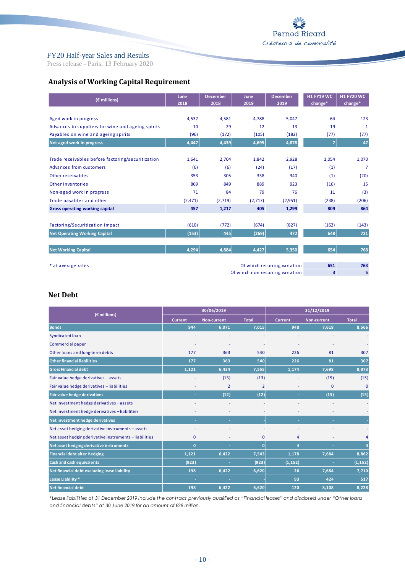Press release - Paris, 13 February 2020

### **Analysis of Working Capital Requirement**

| (€ millions)                                      | June<br>2018 | <b>December</b><br>2018 | June<br>2019 | <b>December</b><br>2019 | <b>H1 FY19 WC</b><br>change* | <b>H1 FY20 WC</b><br>$change*$ |
|---------------------------------------------------|--------------|-------------------------|--------------|-------------------------|------------------------------|--------------------------------|
| Aged work in progress                             | 4,532        | 4,581                   | 4,788        | 5,047                   | 64                           | 123                            |
|                                                   | 10           | 29                      | 12           | 13                      | 19                           |                                |
| Advances to suppliers for wine and ageing spirits |              |                         |              |                         |                              | 1                              |
| Payables on wine and ageing spirits               | (96)         | (172)                   | (105)        | (182)                   | (77)                         | (77)                           |
| Net aged work in progress                         | 4,447        | 4,439                   | 4,695        | 4,878                   | $\overline{7}$               | 47                             |
|                                                   |              |                         |              |                         |                              |                                |
| Trade receivables before factoring/securitization | 1,641        | 2,704                   | 1,842        | 2,928                   | 1,054                        | 1,070                          |
| Advances from customers                           | (6)          | (6)                     | (24)         | (17)                    | (1)                          | 7                              |
| Other receivables                                 | 353          | 305                     | 338          | 340                     | (1)                          | (20)                           |
| Other inventories                                 | 869          | 849                     | 889          | 923                     | (16)                         | 15                             |
| Non-aged work in progress                         | 71           | 84                      | 79           | 76                      | 11                           | (3)                            |
| Trade payables and other                          | (2,471)      | (2,719)                 | (2,717)      | (2,951)                 | (238)                        | (206)                          |
| Gross operating working capital                   | 457          | 1,217                   | 405          | 1,299                   | 809                          | 864                            |
|                                                   |              |                         |              |                         |                              |                                |
| Factoring/Securitization impact                   | (610)        | (772)                   | (674)        | (827)                   | (162)                        | (143)                          |
| <b>Net Operating Working Capital</b>              | (153)        | 445                     | (269)        | 472                     | 648                          | 721                            |
|                                                   |              |                         |              |                         |                              |                                |
| <b>Net Working Capital</b>                        | 4,294        | 4,884                   | 4,427        | 5,350                   | 654                          | 768                            |
|                                                   |              |                         |              |                         |                              |                                |

**3 5**

### **Net Debt**

| (€ millions)                                         |                | 30/06/2019  |              |                | 31/12/2019         |              |  |
|------------------------------------------------------|----------------|-------------|--------------|----------------|--------------------|--------------|--|
|                                                      | <b>Current</b> | Non-current | <b>Total</b> | <b>Current</b> | <b>Non-current</b> | <b>Total</b> |  |
| <b>Bonds</b>                                         | 944            | 6,071       | 7,015        | 948            | 7,618              | 8,566        |  |
| Syndicated Ioan                                      |                |             |              |                |                    |              |  |
| Commercial paper                                     |                |             |              |                |                    |              |  |
| Other loans and long-term debts                      | 177            | 363         | 540          | 226            | 81                 | 307          |  |
| <b>Other financial liabilities</b>                   | 177            | 363         | 540          | 226            | 81                 | 307          |  |
| <b>Gross Financial debt</b>                          | 1,121          | 6,434       | 7,555        | 1,174          | 7,698              | 8,873        |  |
| Fair value hedge derivatives - assets                |                | (13)        | (13)         |                | (15)               | (15)         |  |
| Fair value hedge derivatives - liabilities           |                | 2           | 2            |                | 0                  | $\mathbf 0$  |  |
| <b>Fair value hedge derivatives</b>                  | н              | (12)        | (12)         | ٠              | (15)               | (15)         |  |
| Net investment hedge derivatives - assets            |                |             | ÷,           |                |                    |              |  |
| Net investment hedge derivatives -liabilities        |                |             |              |                |                    |              |  |
| Net investment hedge derivatives                     | ۰              | ٠           |              | ۳              | ۰                  |              |  |
| Net asset hedging derivative instruments - assets    |                |             |              |                |                    |              |  |
| Net asset hedging derivative instruments-liabilities | 0              |             | 0            | 4              |                    |              |  |
| Net asset hedging derivative instruments             | $\mathbf{0}$   | ٠           | $\mathbf{0}$ | 4              | н                  |              |  |
| <b>Financial debt after Hedging</b>                  | 1,121          | 6,422       | 7,543        | 1,178          | 7,684              | 8,862        |  |
| <b>Cash and cash equivalents</b>                     | (923)          |             | (923)        | (1, 152)       | Е                  | (1, 152)     |  |
| Net financial debt excluding lease liability         | 198            | 6,422       | 6,620        | 26             | 7,684              | 7,710        |  |
| Lease Liability*                                     | ٠              | н           |              | 93             | 424                | 517          |  |
| <b>Net financial debt</b>                            | 198            | 6,422       | 6,620        | 120            | 8,108              | 8,228        |  |

*\*Lease liabilities at 31 December 2019 include the contract previously qualified as "Financial leases" and disclosed under "Other loans and financial debts" at 30 June 2019 for an amount of €28 million.*

<sup>\*</sup> at average rates **651 763** Of which recurring variation Of which non recurring variation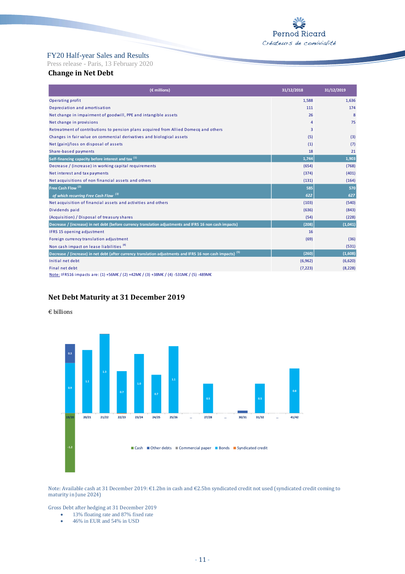Press release - Paris, 13 February 2020

### **Change in Net Debt**

| (€ millions)                                                                                                | 31/12/2018 | 31/12/2019 |
|-------------------------------------------------------------------------------------------------------------|------------|------------|
| Operating profit                                                                                            | 1,588      | 1,636      |
| Depreciation and amortisation                                                                               | 111        | 174        |
| Net change in impairment of goodwill, PPE and intangible assets                                             | 26         | 8          |
| Net change in provisions                                                                                    | 4          | 75         |
| Retreatment of contributions to pension plans acquired from Allied Domecq and others                        | 3          |            |
| Changes in fair value on commercial derivatives and biological assets                                       | (5)        | (3)        |
| Net (gain)/loss on disposal of assets                                                                       | (1)        | (7)        |
| Share-based payments                                                                                        | 18         | 21         |
| Self-financing capacity before interest and tax <sup>(1)</sup>                                              | 1,744      | 1,903      |
| Decrease / (increase) in working capital requirements                                                       | (654)      | (768)      |
| Net interest and tax payments                                                                               | (374)      | (401)      |
| Net acquisitions of non financial assets and others                                                         | (131)      | (164)      |
| Free Cash Flow <sup>(2)</sup>                                                                               | 585        | 570        |
| of which recurring Free Cash Flow <sup>(3)</sup>                                                            | 622        | 627        |
| Net acquisition of financial assets and activities and others                                               | (103)      | (540)      |
| Dividends paid                                                                                              | (636)      | (843)      |
| (Acquisition) / Disposal of treasury shares                                                                 | (54)       | (228)      |
| Decrease / (increase) in net debt (before currency translation adjustments and IFRS 16 non cash impacts)    | (208)      | (1,041)    |
| IFRS 15 opening adjustment                                                                                  | 16         |            |
| Foreign currency translation adjustment                                                                     | (69)       | (36)       |
| Non cash impact on lease liabilities <sup>(4)</sup>                                                         |            | (531)      |
| Decrease / (increase) in net debt (after currency translation adjustments and IFRS 16 non cash impacts) (5) | (260)      | (1,608)    |
| Initial net debt                                                                                            | (6, 962)   | (6,620)    |
| Final net debt                                                                                              | (7, 223)   | (8, 228)   |
| Note: IFRS16 impacts are: (1) +56M€ / (2) +42M€ / (3) +38M€ / (4) -531M€ / (5) -489M€                       |            |            |

### **Net Debt Maturity at 31 December 2019**



€ billions

Note: Available cash at 31 December 2019: €1.2bn in cash and €2.5bn syndicated credit not used (syndicated credit coming to maturity in June 2024)

Gross Debt after hedging at 31 December 2019

- 13% floating rate and 87% fixed rate<br>• 46% in EUR and 54% in USD
- 46% in EUR and 54% in USD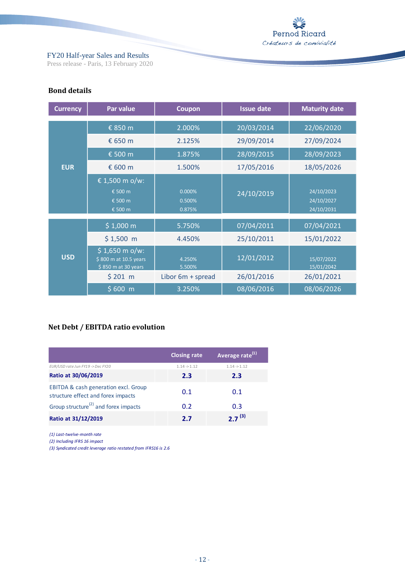

### **Bond details**

| <b>Currency</b> | Par value                                                      | Coupon                     | <b>Issue date</b> | <b>Maturity date</b>                   |
|-----------------|----------------------------------------------------------------|----------------------------|-------------------|----------------------------------------|
|                 | € 850 m                                                        | 2.000%                     | 20/03/2014        | 22/06/2020                             |
|                 | € 650 m                                                        | 2.125%                     | 29/09/2014        | 27/09/2024                             |
|                 | € 500 m                                                        | 1.875%                     | 28/09/2015        | 28/09/2023                             |
| <b>EUR</b>      | € 600 m                                                        | 1.500%                     | 17/05/2016        | 18/05/2026                             |
|                 | € 1,500 m o/w:<br>€ 500 m<br>€ 500 m<br>€ 500 m                | 0.000%<br>0.500%<br>0.875% | 24/10/2019        | 24/10/2023<br>24/10/2027<br>24/10/2031 |
|                 | \$1,000 m                                                      | 5.750%                     | 07/04/2011        | 07/04/2021                             |
|                 | $$1,500$ m                                                     | 4.450%                     | 25/10/2011        | 15/01/2022                             |
| <b>USD</b>      | \$1,650 m o/w:<br>\$800 m at 10.5 years<br>\$850 m at 30 years | 4.250%<br>5.500%           | 12/01/2012        | 15/07/2022<br>15/01/2042               |
|                 | \$201 m                                                        | Libor 6m + spread          | 26/01/2016        | 26/01/2021                             |
|                 | \$600 m                                                        | 3.250%                     | 08/06/2016        | 08/06/2026                             |

### **Net Debt / EBITDA ratio evolution**

|                                                                            | <b>Closing rate</b>     | Average rate <sup>(1)</sup> |
|----------------------------------------------------------------------------|-------------------------|-----------------------------|
| EUR/USD rate Jun FY19 -> Dec FY20                                          | $1.14 \rightarrow 1.12$ | $1.14 \rightarrow 1.12$     |
| Ratio at 30/06/2019                                                        | 2.3                     | 2.3                         |
| EBITDA & cash generation excl. Group<br>structure effect and forex impacts | 0.1                     | 0.1                         |
| Group structure <sup>(2)</sup> and forex impacts                           | 0.2                     | 0.3                         |
| Ratio at 31/12/2019                                                        | 2.7                     | $2.7^{(3)}$                 |

*(1) Last-twelve-month rate*

*(2) Including IFRS 16 impact*

*(3) Syndicated credit leverage ratio restated from IFRS16 is 2.6*